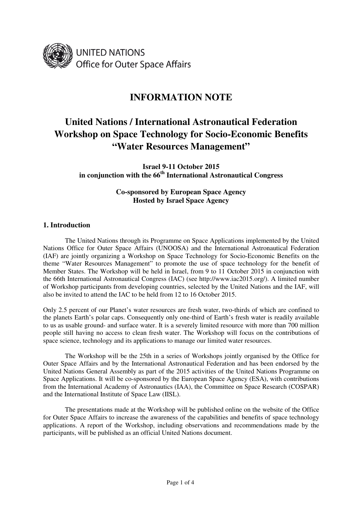

## **INFORMATION NOTE**

# **United Nations / International Astronautical Federation Workshop on Space Technology for Socio-Economic Benefits "Water Resources Management"**

**Israel 9-11 October 2015 in conjunction with the 66th International Astronautical Congress** 

> **Co-sponsored by European Space Agency Hosted by Israel Space Agency**

## **1. Introduction**

 The United Nations through its Programme on Space Applications implemented by the United Nations Office for Outer Space Affairs (UNOOSA) and the International Astronautical Federation (IAF) are jointly organizing a Workshop on Space Technology for Socio-Economic Benefits on the theme "Water Resources Management" to promote the use of space technology for the benefit of Member States. The Workshop will be held in Israel, from 9 to 11 October 2015 in conjunction with the 66th International Astronautical Congress (IAC) (see http://www.iac2015.org/). A limited number of Workshop participants from developing countries, selected by the United Nations and the IAF, will also be invited to attend the IAC to be held from 12 to 16 October 2015.

Only 2.5 percent of our Planet's water resources are fresh water, two-thirds of which are confined to the planets Earth's polar caps. Consequently only one-third of Earth's fresh water is readily available to us as usable ground- and surface water. It is a severely limited resource with more than 700 million people still having no access to clean fresh water. The Workshop will focus on the contributions of space science, technology and its applications to manage our limited water resources.

 The Workshop will be the 25th in a series of Workshops jointly organised by the Office for Outer Space Affairs and by the International Astronautical Federation and has been endorsed by the United Nations General Assembly as part of the 2015 activities of the United Nations Programme on Space Applications. It will be co-sponsored by the European Space Agency (ESA), with contributions from the International Academy of Astronautics (IAA), the Committee on Space Research (COSPAR) and the International Institute of Space Law (IISL).

 The presentations made at the Workshop will be published online on the website of the Office for Outer Space Affairs to increase the awareness of the capabilities and benefits of space technology applications. A report of the Workshop, including observations and recommendations made by the participants, will be published as an official United Nations document.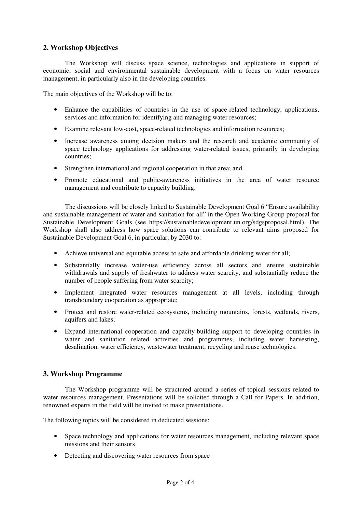## **2. Workshop Objectives**

 The Workshop will discuss space science, technologies and applications in support of economic, social and environmental sustainable development with a focus on water resources management, in particularly also in the developing countries.

The main objectives of the Workshop will be to:

- Enhance the capabilities of countries in the use of space-related technology, applications, services and information for identifying and managing water resources;
- Examine relevant low-cost, space-related technologies and information resources;
- Increase awareness among decision makers and the research and academic community of space technology applications for addressing water-related issues, primarily in developing countries;
- Strengthen international and regional cooperation in that area; and
- Promote educational and public-awareness initiatives in the area of water resource management and contribute to capacity building.

 The discussions will be closely linked to Sustainable Development Goal 6 "Ensure availability and sustainable management of water and sanitation for all" in the Open Working Group proposal for Sustainable Development Goals (see https://sustainabledevelopment.un.org/sdgsproposal.html). The Workshop shall also address how space solutions can contribute to relevant aims proposed for Sustainable Development Goal 6, in particular, by 2030 to:

- Achieve universal and equitable access to safe and affordable drinking water for all;
- Substantially increase water-use efficiency across all sectors and ensure sustainable withdrawals and supply of freshwater to address water scarcity, and substantially reduce the number of people suffering from water scarcity;
- Implement integrated water resources management at all levels, including through transboundary cooperation as appropriate;
- Protect and restore water-related ecosystems, including mountains, forests, wetlands, rivers, aquifers and lakes;
- Expand international cooperation and capacity-building support to developing countries in water and sanitation related activities and programmes, including water harvesting, desalination, water efficiency, wastewater treatment, recycling and reuse technologies.

## **3. Workshop Programme**

 The Workshop programme will be structured around a series of topical sessions related to water resources management. Presentations will be solicited through a Call for Papers. In addition, renowned experts in the field will be invited to make presentations.

The following topics will be considered in dedicated sessions:

- Space technology and applications for water resources management, including relevant space missions and their sensors
- Detecting and discovering water resources from space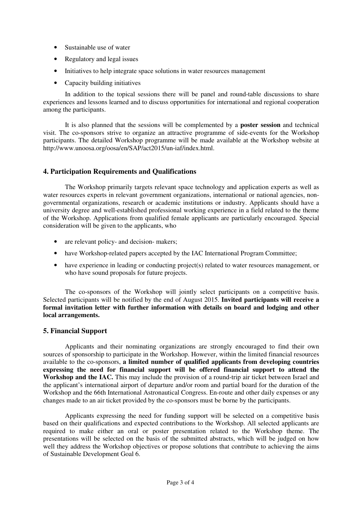- Sustainable use of water
- Regulatory and legal issues
- Initiatives to help integrate space solutions in water resources management
- Capacity building initiatives

 In addition to the topical sessions there will be panel and round-table discussions to share experiences and lessons learned and to discuss opportunities for international and regional cooperation among the participants.

 It is also planned that the sessions will be complemented by a **poster session** and technical visit. The co-sponsors strive to organize an attractive programme of side-events for the Workshop participants. The detailed Workshop programme will be made available at the Workshop website at http://www.unoosa.org/oosa/en/SAP/act2015/un-iaf/index.html.

## **4. Participation Requirements and Qualifications**

 The Workshop primarily targets relevant space technology and application experts as well as water resources experts in relevant government organizations, international or national agencies, nongovernmental organizations, research or academic institutions or industry. Applicants should have a university degree and well-established professional working experience in a field related to the theme of the Workshop. Applications from qualified female applicants are particularly encouraged. Special consideration will be given to the applicants, who

- are relevant policy- and decision- makers;
- have Workshop-related papers accepted by the IAC International Program Committee:
- have experience in leading or conducting project(s) related to water resources management, or who have sound proposals for future projects.

 The co-sponsors of the Workshop will jointly select participants on a competitive basis. Selected participants will be notified by the end of August 2015. **Invited participants will receive a formal invitation letter with further information with details on board and lodging and other local arrangements.** 

#### **5. Financial Support**

 Applicants and their nominating organizations are strongly encouraged to find their own sources of sponsorship to participate in the Workshop. However, within the limited financial resources available to the co-sponsors, **a limited number of qualified applicants from developing countries expressing the need for financial support will be offered financial support to attend the Workshop and the IAC.** This may include the provision of a round-trip air ticket between Israel and the applicant's international airport of departure and/or room and partial board for the duration of the Workshop and the 66th International Astronautical Congress. En-route and other daily expenses or any changes made to an air ticket provided by the co-sponsors must be borne by the participants.

 Applicants expressing the need for funding support will be selected on a competitive basis based on their qualifications and expected contributions to the Workshop. All selected applicants are required to make either an oral or poster presentation related to the Workshop theme. The presentations will be selected on the basis of the submitted abstracts, which will be judged on how well they address the Workshop objectives or propose solutions that contribute to achieving the aims of Sustainable Development Goal 6.